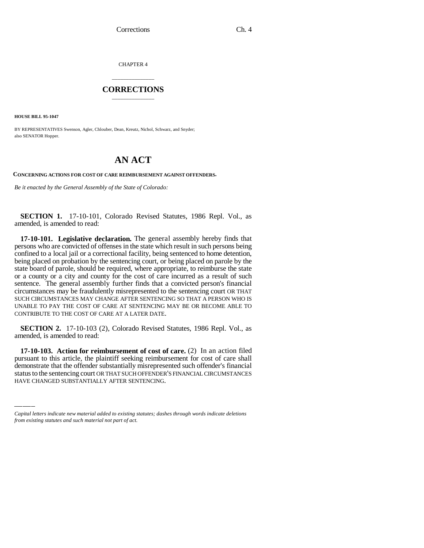CHAPTER 4

## \_\_\_\_\_\_\_\_\_\_\_\_\_\_\_ **CORRECTIONS** \_\_\_\_\_\_\_\_\_\_\_\_\_\_\_

**HOUSE BILL 95-1047**

BY REPRESENTATIVES Swenson, Agler, Chlouber, Dean, Kreutz, Nichol, Schwarz, and Snyder; also SENATOR Hopper.

## **AN ACT**

**CONCERNING ACTIONS FOR COST OF CARE REIMBURSEMENT AGAINST OFFENDERS.**

*Be it enacted by the General Assembly of the State of Colorado:*

**SECTION 1.** 17-10-101, Colorado Revised Statutes, 1986 Repl. Vol., as amended, is amended to read:

**17-10-101. Legislative declaration.** The general assembly hereby finds that persons who are convicted of offenses in the state which result in such persons being confined to a local jail or a correctional facility, being sentenced to home detention, being placed on probation by the sentencing court, or being placed on parole by the state board of parole, should be required, where appropriate, to reimburse the state or a county or a city and county for the cost of care incurred as a result of such sentence. The general assembly further finds that a convicted person's financial circumstances may be fraudulently misrepresented to the sentencing court OR THAT SUCH CIRCUMSTANCES MAY CHANGE AFTER SENTENCING SO THAT A PERSON WHO IS UNABLE TO PAY THE COST OF CARE AT SENTENCING MAY BE OR BECOME ABLE TO CONTRIBUTE TO THE COST OF CARE AT A LATER DATE.

**SECTION 2.** 17-10-103 (2), Colorado Revised Statutes, 1986 Repl. Vol., as amended, is amended to read:

 $\mathbf{p}$ -10-105. Action for reimbursement of cost of care. (2) In an action fied pursuant to this article, the plaintiff seeking reimbursement for cost of care shall **17-10-103. Action for reimbursement of cost of care.** (2) In an action filed demonstrate that the offender substantially misrepresented such offender's financial status to the sentencing court OR THAT SUCH OFFENDER'S FINANCIAL CIRCUMSTANCES HAVE CHANGED SUBSTANTIALLY AFTER SENTENCING.

*Capital letters indicate new material added to existing statutes; dashes through words indicate deletions from existing statutes and such material not part of act.*